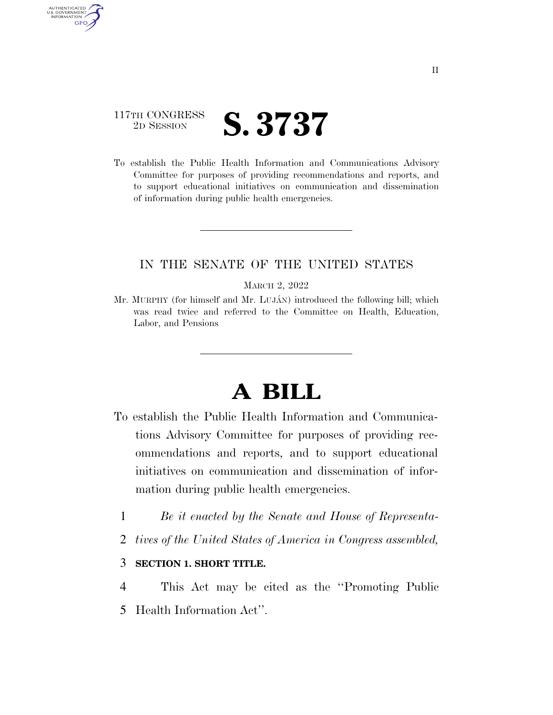# 117TH CONGRESS **2D SESSION S. 3737**

AUTHENTICATED U.S. GOVERNMENT **GPO** 

> To establish the Public Health Information and Communications Advisory Committee for purposes of providing recommendations and reports, and to support educational initiatives on communication and dissemination of information during public health emergencies.

## IN THE SENATE OF THE UNITED STATES

#### MARCH 2, 2022

Mr. MURPHY (for himself and Mr. LUJÁN) introduced the following bill; which was read twice and referred to the Committee on Health, Education, Labor, and Pensions

# **A BILL**

- To establish the Public Health Information and Communications Advisory Committee for purposes of providing recommendations and reports, and to support educational initiatives on communication and dissemination of information during public health emergencies.
	- 1 *Be it enacted by the Senate and House of Representa-*
	- 2 *tives of the United States of America in Congress assembled,*

### 3 **SECTION 1. SHORT TITLE.**

- 4 This Act may be cited as the ''Promoting Public
- 5 Health Information Act''.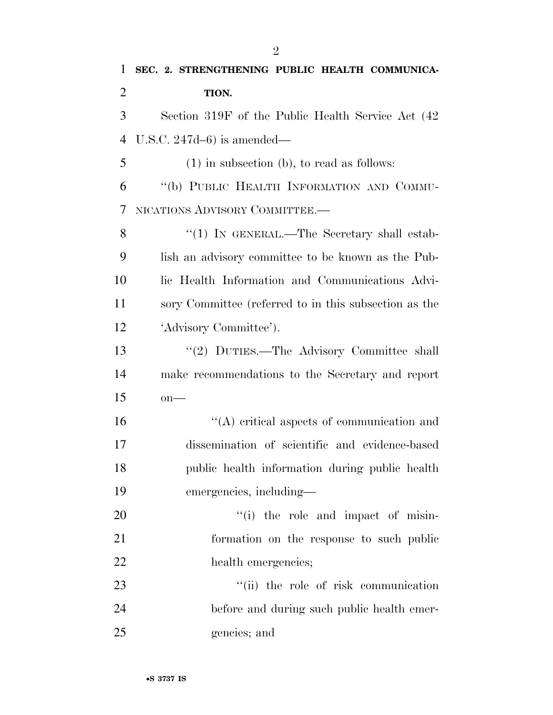| 1              | SEC. 2. STRENGTHENING PUBLIC HEALTH COMMUNICA-        |
|----------------|-------------------------------------------------------|
| $\overline{2}$ | TION.                                                 |
| 3              | Section 319F of the Public Health Service Act (42)    |
| $\overline{4}$ | U.S.C. $247d-6$ ) is amended—                         |
| 5              | $(1)$ in subsection (b), to read as follows:          |
| 6              | "(b) PUBLIC HEALTH INFORMATION AND COMMU-             |
| 7              | NICATIONS ADVISORY COMMITTEE.-                        |
| 8              | "(1) IN GENERAL.—The Secretary shall estab-           |
| 9              | lish an advisory committee to be known as the Pub-    |
| 10             | lic Health Information and Communications Advi-       |
| 11             | sory Committee (referred to in this subsection as the |
| 12             | 'Advisory Committee').                                |
| 13             | "(2) DUTIES.—The Advisory Committee shall             |
| 14             | make recommendations to the Secretary and report      |
| 15             | $on$ —                                                |
| 16             | $\lq\lq$ critical aspects of communication and        |
| 17             | dissemination of scientific and evidence-based        |
| 18             | public health information during public health        |
| 19             | emergencies, including—                               |
| 20             | "(i) the role and impact of misin-                    |
| 21             | formation on the response to such public              |
| 22             | health emergencies;                                   |
| 23             | "(ii) the role of risk communication                  |
| 24             | before and during such public health emer-            |
| 25             | gencies; and                                          |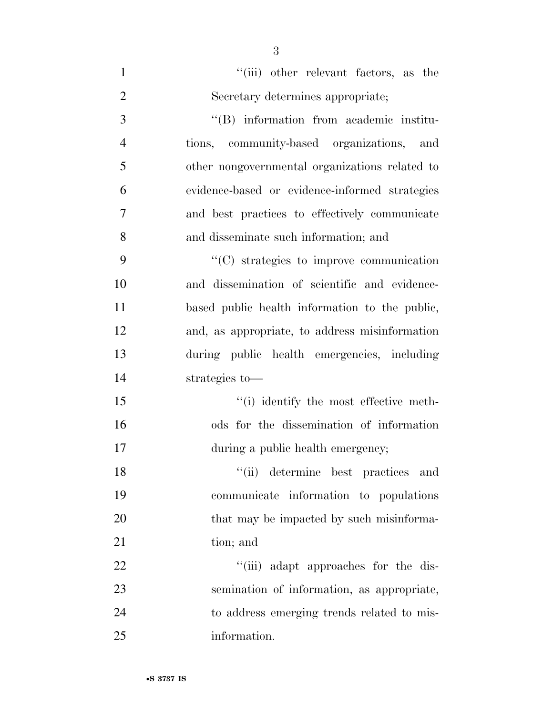| $\mathbf{1}$   | "(iii) other relevant factors, as the          |
|----------------|------------------------------------------------|
| $\overline{2}$ | Secretary determines appropriate;              |
| 3              | "(B) information from academic institu-        |
| $\overline{4}$ | tions, community-based organizations, and      |
| 5              | other nongovernmental organizations related to |
| 6              | evidence-based or evidence-informed strategies |
| $\overline{7}$ | and best practices to effectively communicate  |
| 8              | and disseminate such information; and          |
| 9              | $\lq\lq$ strategies to improve communication   |
| 10             | and dissemination of scientific and evidence-  |
| 11             | based public health information to the public, |
| 12             | and, as appropriate, to address misinformation |
| 13             | during public health emergencies, including    |
| 14             | strategies to-                                 |
| 15             | "(i) identify the most effective meth-         |
| 16             | ods for the dissemination of information       |
| 17             | during a public health emergency;              |
| 18             | "(ii) determine best practices and             |
| 19             | communicate information to populations         |
| 20             | that may be impacted by such misinforma-       |
| 21             | tion; and                                      |
| 22             | "(iii) adapt approaches for the dis-           |
| 23             | semination of information, as appropriate,     |
| 24             | to address emerging trends related to mis-     |
| 25             | information.                                   |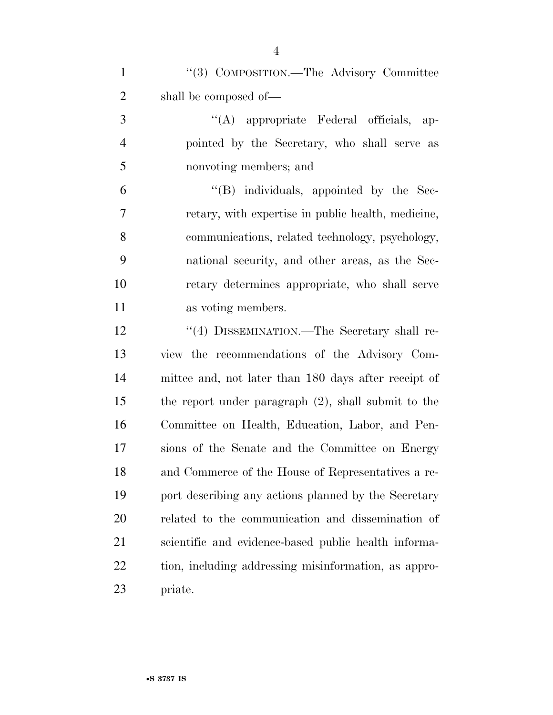| $\mathbf{1}$   | "(3) COMPOSITION.—The Advisory Committee               |
|----------------|--------------------------------------------------------|
| $\overline{2}$ | shall be composed of-                                  |
| 3              | "(A) appropriate Federal officials, ap-                |
| $\overline{4}$ | pointed by the Secretary, who shall serve as           |
| 5              | nonvoting members; and                                 |
| 6              | $\lq\lq$ (B) individuals, appointed by the Sec-        |
| 7              | retary, with expertise in public health, medicine,     |
| 8              | communications, related technology, psychology,        |
| 9              | national security, and other areas, as the Sec-        |
| 10             | retary determines appropriate, who shall serve         |
| 11             | as voting members.                                     |
| 12             | "(4) DISSEMINATION.—The Secretary shall re-            |
| 13             | view the recommendations of the Advisory Com-          |
| 14             | mittee and, not later than 180 days after receipt of   |
| 15             | the report under paragraph $(2)$ , shall submit to the |
| 16             | Committee on Health, Education, Labor, and Pen-        |
| 17             | sions of the Senate and the Committee on Energy        |
| 18             | and Commerce of the House of Representatives a re-     |
| 19             | port describing any actions planned by the Secretary   |
| 20             | related to the communication and dissemination of      |
| 21             | scientific and evidence-based public health informa-   |
| 22             | tion, including addressing misinformation, as appro-   |
| 23             | priate.                                                |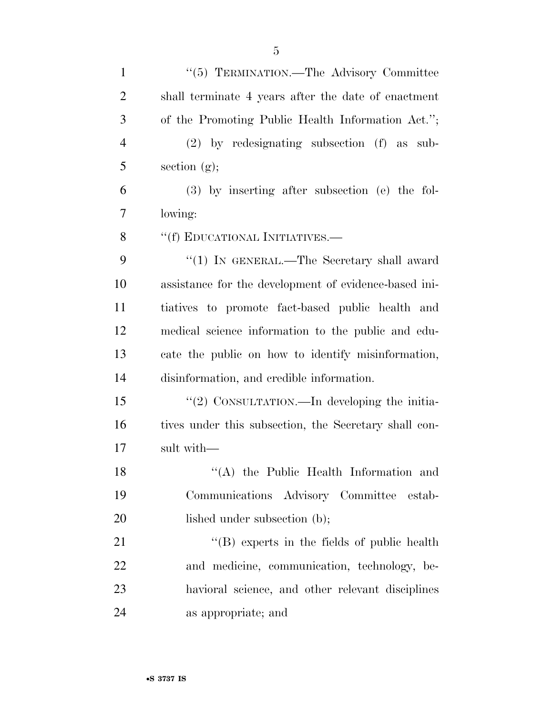| $\mathbf{1}$   | "(5) TERMINATION.—The Advisory Committee              |
|----------------|-------------------------------------------------------|
| $\overline{2}$ | shall terminate 4 years after the date of enactment   |
| 3              | of the Promoting Public Health Information Act.";     |
| $\overline{4}$ | $(2)$ by redesignating subsection $(f)$ as sub-       |
| 5              | section $(g)$ ;                                       |
| 6              | $(3)$ by inserting after subsection (e) the fol-      |
| 7              | lowing:                                               |
| 8              | "(f) EDUCATIONAL INITIATIVES.—                        |
| 9              | "(1) IN GENERAL.—The Secretary shall award            |
| 10             | assistance for the development of evidence-based ini- |
| 11             | tiatives to promote fact-based public health and      |
| 12             | medical science information to the public and edu-    |
| 13             | cate the public on how to identify misinformation,    |
| 14             | disinformation, and credible information.             |
| 15             | "(2) CONSULTATION.—In developing the initia-          |
| 16             | tives under this subsection, the Secretary shall con- |
| 17             | sult with-                                            |
| 18             | "(A) the Public Health Information and                |
| 19             | Communications Advisory Committee estab-              |
| 20             | lished under subsection (b);                          |
| 21             | $\lq\lq$ (B) experts in the fields of public health   |
| <u>22</u>      | and medicine, communication, technology, be-          |
| 23             | havioral science, and other relevant disciplines      |
| 24             | as appropriate; and                                   |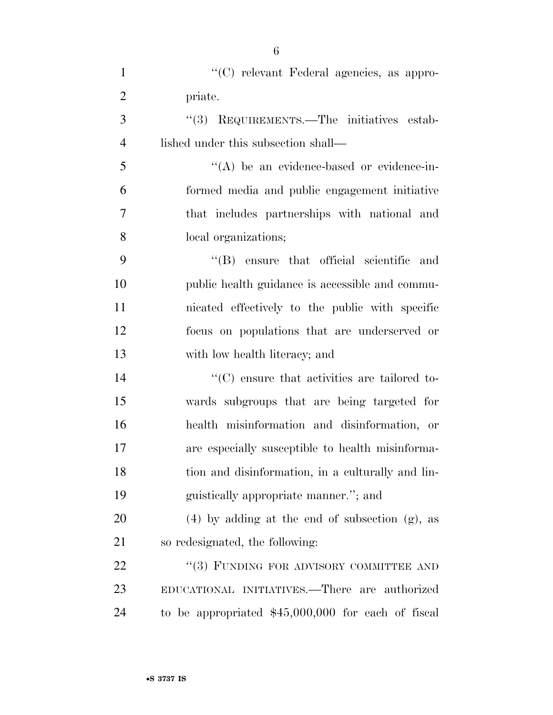| $\mathbf{1}$   | "(C) relevant Federal agencies, as appro-           |
|----------------|-----------------------------------------------------|
| $\overline{2}$ | priate.                                             |
| 3              | "(3) REQUIREMENTS.—The initiatives estab-           |
| $\overline{4}$ | lished under this subsection shall—                 |
| 5              | $\lq\lq$ be an evidence-based or evidence-in-       |
| 6              | formed media and public engagement initiative       |
| 7              | that includes partnerships with national and        |
| 8              | local organizations;                                |
| 9              | "(B) ensure that official scientific and            |
| 10             | public health guidance is accessible and commu-     |
| 11             | nicated effectively to the public with specific     |
| 12             | focus on populations that are underserved or        |
| 13             | with low health literacy; and                       |
| 14             | "(C) ensure that activities are tailored to-        |
| 15             | wards subgroups that are being targeted for         |
| 16             | health misinformation and disinformation, or        |
| 17             | are especially susceptible to health misinforma-    |
| 18             | tion and disinformation, in a culturally and lin-   |
| 19             | guistically appropriate manner."; and               |
| 20             | $(4)$ by adding at the end of subsection $(g)$ , as |
| 21             | so redesignated, the following:                     |
| 22             | "(3) FUNDING FOR ADVISORY COMMITTEE AND             |
| 23             | EDUCATIONAL INITIATIVES.—There are authorized       |
| 24             | to be appropriated $$45,000,000$ for each of fiscal |